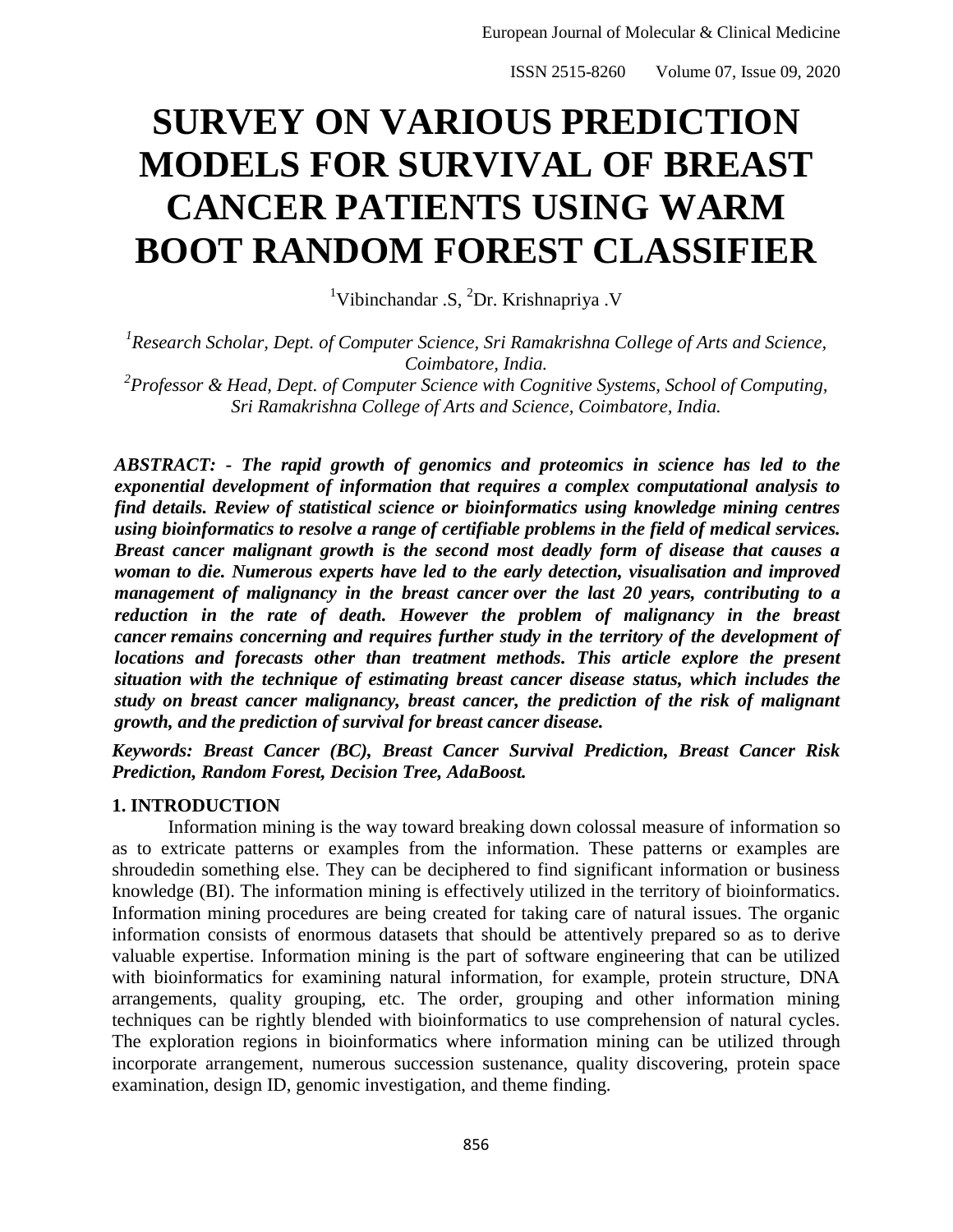# **SURVEY ON VARIOUS PREDICTION MODELS FOR SURVIVAL OF BREAST CANCER PATIENTS USING WARM BOOT RANDOM FOREST CLASSIFIER**

<sup>1</sup>Vibinchandar .S,  ${}^{2}Dr$ . Krishnapriya .V

<sup>1</sup> Research Scholar, Dept. of Computer Science, Sri Ramakrishna College of Arts and Science, *Coimbatore, India.*

*2 Professor & Head, Dept. of Computer Science with Cognitive Systems, School of Computing, Sri Ramakrishna College of Arts and Science, Coimbatore, India.*

*ABSTRACT: - The rapid growth of genomics and proteomics in science has led to the exponential development of information that requires a complex computational analysis to find details. Review of statistical science or bioinformatics using knowledge mining centres using bioinformatics to resolve a range of certifiable problems in the field of medical services. Breast cancer malignant growth is the second most deadly form of disease that causes a woman to die. Numerous experts have led to the early detection, visualisation and improved management of malignancy in the breast cancer over the last 20 years, contributing to a*  reduction in the rate of death. However the problem of malignancy in the breast *cancer remains concerning and requires further study in the territory of the development of locations and forecasts other than treatment methods. This article explore the present situation with the technique of estimating breast cancer disease status, which includes the study on breast cancer malignancy, breast cancer, the prediction of the risk of malignant growth, and the prediction of survival for breast cancer disease.*

*Keywords: Breast Cancer (BC), Breast Cancer Survival Prediction, Breast Cancer Risk Prediction, Random Forest, Decision Tree, AdaBoost.*

#### **1. INTRODUCTION**

Information mining is the way toward breaking down colossal measure of information so as to extricate patterns or examples from the information. These patterns or examples are shroudedin something else. They can be deciphered to find significant information or business knowledge (BI). The information mining is effectively utilized in the territory of bioinformatics. Information mining procedures are being created for taking care of natural issues. The organic information consists of enormous datasets that should be attentively prepared so as to derive valuable expertise. Information mining is the part of software engineering that can be utilized with bioinformatics for examining natural information, for example, protein structure, DNA arrangements, quality grouping, etc. The order, grouping and other information mining techniques can be rightly blended with bioinformatics to use comprehension of natural cycles. The exploration regions in bioinformatics where information mining can be utilized through incorporate arrangement, numerous succession sustenance, quality discovering, protein space examination, design ID, genomic investigation, and theme finding.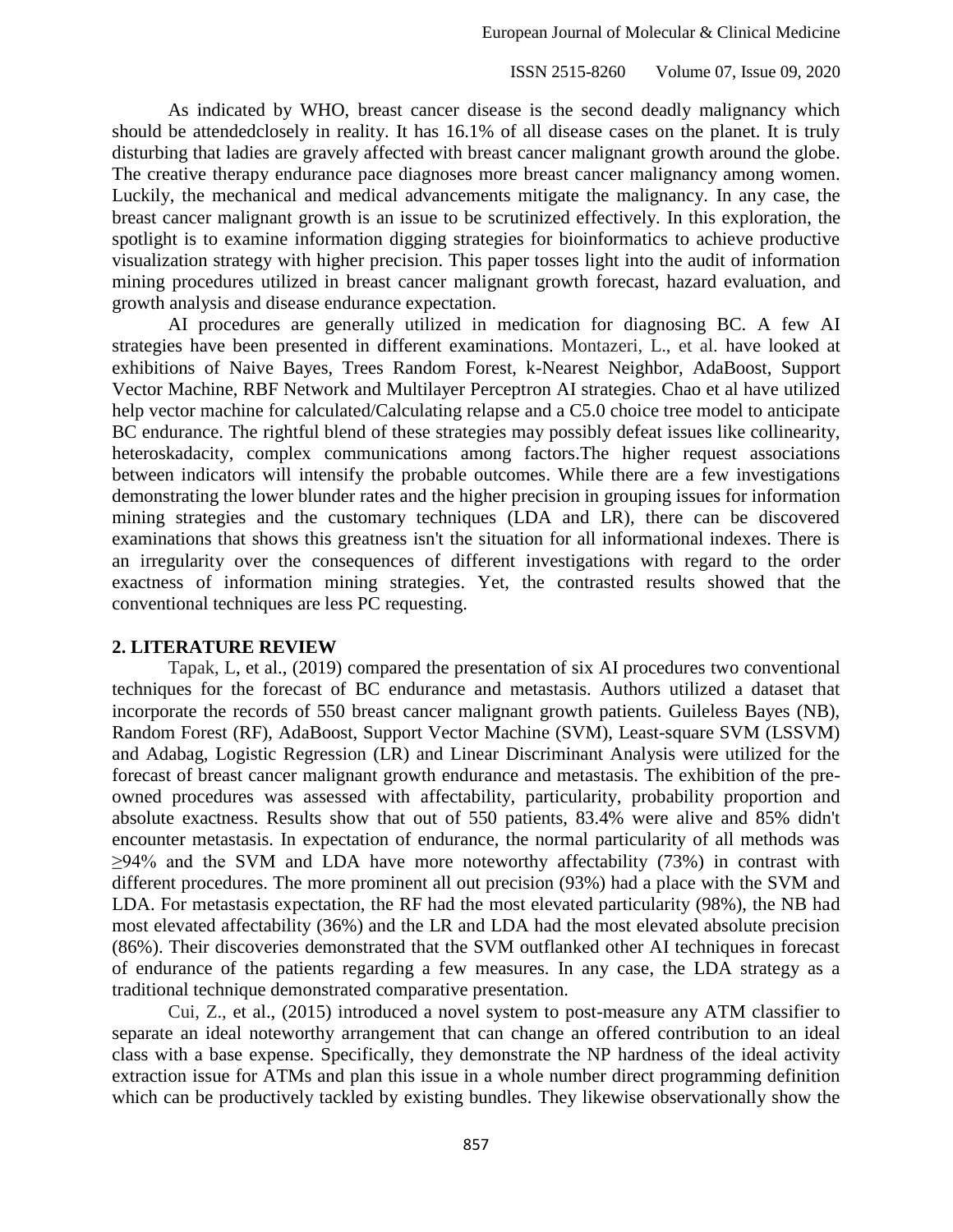As indicated by WHO, breast cancer disease is the second deadly malignancy which should be attendedclosely in reality. It has 16.1% of all disease cases on the planet. It is truly disturbing that ladies are gravely affected with breast cancer malignant growth around the globe. The creative therapy endurance pace diagnoses more breast cancer malignancy among women. Luckily, the mechanical and medical advancements mitigate the malignancy. In any case, the breast cancer malignant growth is an issue to be scrutinized effectively. In this exploration, the spotlight is to examine information digging strategies for bioinformatics to achieve productive visualization strategy with higher precision. This paper tosses light into the audit of information mining procedures utilized in breast cancer malignant growth forecast, hazard evaluation, and growth analysis and disease endurance expectation.

AI procedures are generally utilized in medication for diagnosing BC. A few AI strategies have been presented in different examinations. Montazeri, L., et al. have looked at exhibitions of Naive Bayes, Trees Random Forest, k-Nearest Neighbor, AdaBoost, Support Vector Machine, RBF Network and Multilayer Perceptron AI strategies. Chao et al have utilized help vector machine for calculated/Calculating relapse and a C5.0 choice tree model to anticipate BC endurance. The rightful blend of these strategies may possibly defeat issues like collinearity, heteroskadacity, complex communications among factors.The higher request associations between indicators will intensify the probable outcomes. While there are a few investigations demonstrating the lower blunder rates and the higher precision in grouping issues for information mining strategies and the customary techniques (LDA and LR), there can be discovered examinations that shows this greatness isn't the situation for all informational indexes. There is an irregularity over the consequences of different investigations with regard to the order exactness of information mining strategies. Yet, the contrasted results showed that the conventional techniques are less PC requesting.

#### **2. LITERATURE REVIEW**

Tapak, L, et al., (2019) compared the presentation of six AI procedures two conventional techniques for the forecast of BC endurance and metastasis. Authors utilized a dataset that incorporate the records of 550 breast cancer malignant growth patients. Guileless Bayes (NB), Random Forest (RF), AdaBoost, Support Vector Machine (SVM), Least-square SVM (LSSVM) and Adabag, Logistic Regression (LR) and Linear Discriminant Analysis were utilized for the forecast of breast cancer malignant growth endurance and metastasis. The exhibition of the preowned procedures was assessed with affectability, particularity, probability proportion and absolute exactness. Results show that out of 550 patients, 83.4% were alive and 85% didn't encounter metastasis. In expectation of endurance, the normal particularity of all methods was  $\geq$ 94% and the SVM and LDA have more noteworthy affectability (73%) in contrast with different procedures. The more prominent all out precision (93%) had a place with the SVM and LDA. For metastasis expectation, the RF had the most elevated particularity (98%), the NB had most elevated affectability (36%) and the LR and LDA had the most elevated absolute precision (86%). Their discoveries demonstrated that the SVM outflanked other AI techniques in forecast of endurance of the patients regarding a few measures. In any case, the LDA strategy as a traditional technique demonstrated comparative presentation.

Cui, Z., et al., (2015) introduced a novel system to post-measure any ATM classifier to separate an ideal noteworthy arrangement that can change an offered contribution to an ideal class with a base expense. Specifically, they demonstrate the NP hardness of the ideal activity extraction issue for ATMs and plan this issue in a whole number direct programming definition which can be productively tackled by existing bundles. They likewise observationally show the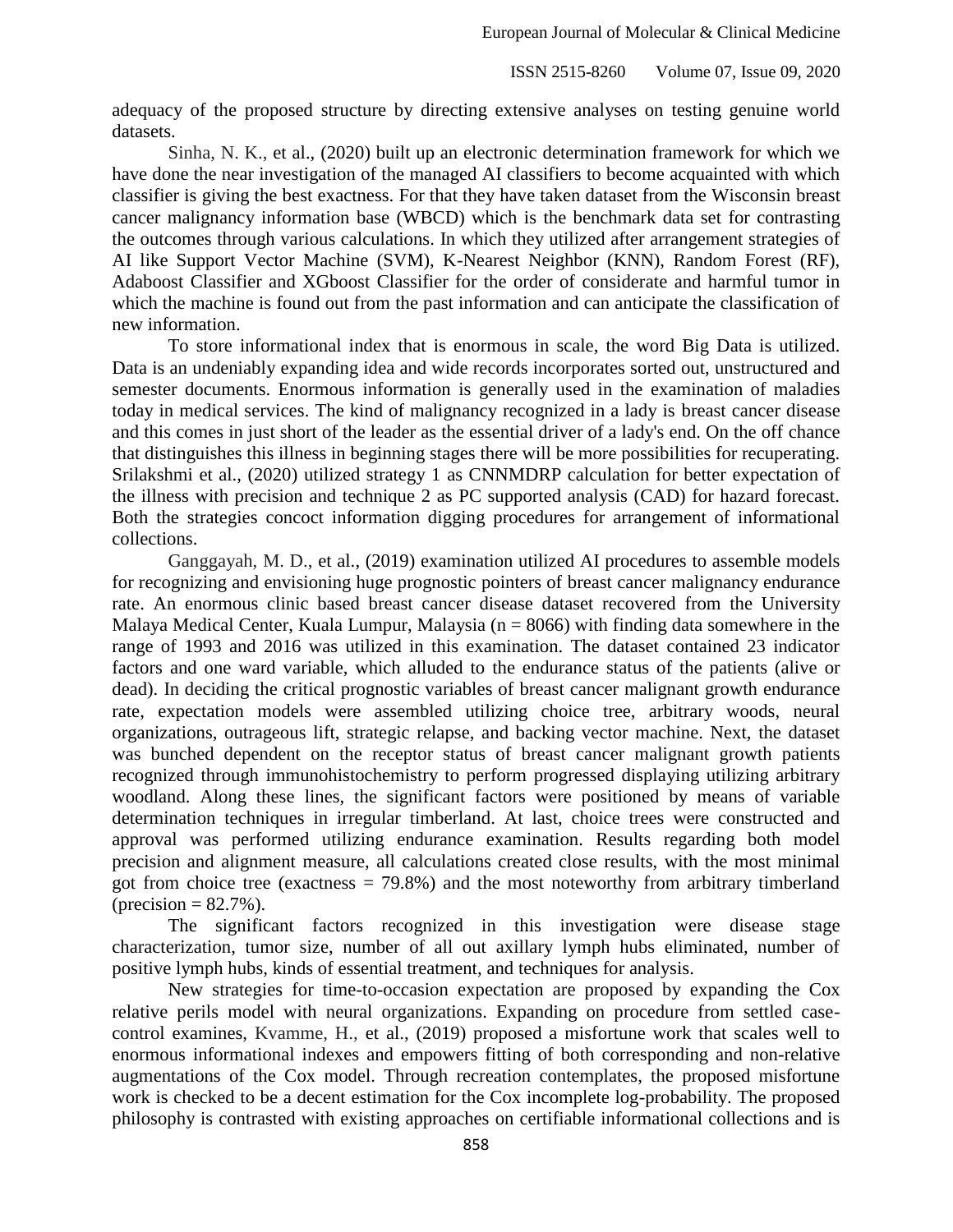adequacy of the proposed structure by directing extensive analyses on testing genuine world datasets.

Sinha, N. K., et al., (2020) built up an electronic determination framework for which we have done the near investigation of the managed AI classifiers to become acquainted with which classifier is giving the best exactness. For that they have taken dataset from the Wisconsin breast cancer malignancy information base (WBCD) which is the benchmark data set for contrasting the outcomes through various calculations. In which they utilized after arrangement strategies of AI like Support Vector Machine (SVM), K-Nearest Neighbor (KNN), Random Forest (RF), Adaboost Classifier and XGboost Classifier for the order of considerate and harmful tumor in which the machine is found out from the past information and can anticipate the classification of new information.

To store informational index that is enormous in scale, the word Big Data is utilized. Data is an undeniably expanding idea and wide records incorporates sorted out, unstructured and semester documents. Enormous information is generally used in the examination of maladies today in medical services. The kind of malignancy recognized in a lady is breast cancer disease and this comes in just short of the leader as the essential driver of a lady's end. On the off chance that distinguishes this illness in beginning stages there will be more possibilities for recuperating. Srilakshmi et al., (2020) utilized strategy 1 as CNNMDRP calculation for better expectation of the illness with precision and technique 2 as PC supported analysis (CAD) for hazard forecast. Both the strategies concoct information digging procedures for arrangement of informational collections.

Ganggayah, M. D., et al., (2019) examination utilized AI procedures to assemble models for recognizing and envisioning huge prognostic pointers of breast cancer malignancy endurance rate. An enormous clinic based breast cancer disease dataset recovered from the University Malaya Medical Center, Kuala Lumpur, Malaysia ( $n = 8066$ ) with finding data somewhere in the range of 1993 and 2016 was utilized in this examination. The dataset contained 23 indicator factors and one ward variable, which alluded to the endurance status of the patients (alive or dead). In deciding the critical prognostic variables of breast cancer malignant growth endurance rate, expectation models were assembled utilizing choice tree, arbitrary woods, neural organizations, outrageous lift, strategic relapse, and backing vector machine. Next, the dataset was bunched dependent on the receptor status of breast cancer malignant growth patients recognized through immunohistochemistry to perform progressed displaying utilizing arbitrary woodland. Along these lines, the significant factors were positioned by means of variable determination techniques in irregular timberland. At last, choice trees were constructed and approval was performed utilizing endurance examination. Results regarding both model precision and alignment measure, all calculations created close results, with the most minimal got from choice tree (exactness  $= 79.8\%$ ) and the most noteworthy from arbitrary timberland  $<sub>(precision</sub> = 82.7%)$ .</sub>

The significant factors recognized in this investigation were disease stage characterization, tumor size, number of all out axillary lymph hubs eliminated, number of positive lymph hubs, kinds of essential treatment, and techniques for analysis.

New strategies for time-to-occasion expectation are proposed by expanding the Cox relative perils model with neural organizations. Expanding on procedure from settled casecontrol examines, Kvamme, H., et al., (2019) proposed a misfortune work that scales well to enormous informational indexes and empowers fitting of both corresponding and non-relative augmentations of the Cox model. Through recreation contemplates, the proposed misfortune work is checked to be a decent estimation for the Cox incomplete log-probability. The proposed philosophy is contrasted with existing approaches on certifiable informational collections and is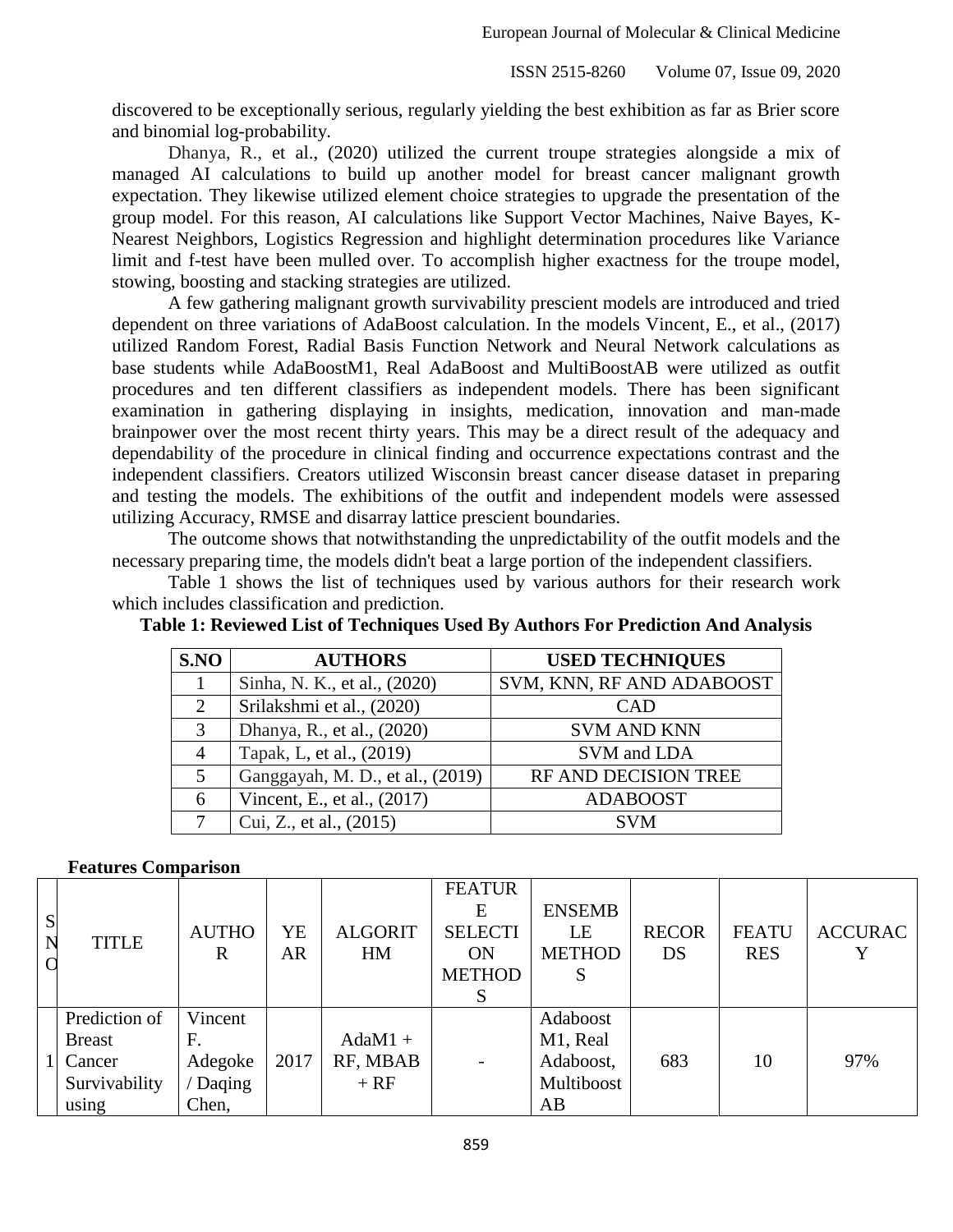discovered to be exceptionally serious, regularly yielding the best exhibition as far as Brier score and binomial log-probability.

Dhanya, R., et al., (2020) utilized the current troupe strategies alongside a mix of managed AI calculations to build up another model for breast cancer malignant growth expectation. They likewise utilized element choice strategies to upgrade the presentation of the group model. For this reason, AI calculations like Support Vector Machines, Naive Bayes, K-Nearest Neighbors, Logistics Regression and highlight determination procedures like Variance limit and f-test have been mulled over. To accomplish higher exactness for the troupe model, stowing, boosting and stacking strategies are utilized.

A few gathering malignant growth survivability prescient models are introduced and tried dependent on three variations of AdaBoost calculation. In the models Vincent, E., et al., (2017) utilized Random Forest, Radial Basis Function Network and Neural Network calculations as base students while AdaBoostM1, Real AdaBoost and MultiBoostAB were utilized as outfit procedures and ten different classifiers as independent models. There has been significant examination in gathering displaying in insights, medication, innovation and man-made brainpower over the most recent thirty years. This may be a direct result of the adequacy and dependability of the procedure in clinical finding and occurrence expectations contrast and the independent classifiers. Creators utilized Wisconsin breast cancer disease dataset in preparing and testing the models. The exhibitions of the outfit and independent models were assessed utilizing Accuracy, RMSE and disarray lattice prescient boundaries.

The outcome shows that notwithstanding the unpredictability of the outfit models and the necessary preparing time, the models didn't beat a large portion of the independent classifiers.

Table 1 shows the list of techniques used by various authors for their research work which includes classification and prediction.

| S.NO                  | <b>AUTHORS</b>                   | <b>USED TECHNIQUES</b>    |
|-----------------------|----------------------------------|---------------------------|
|                       | Sinha, N. K., et al., (2020)     | SVM, KNN, RF AND ADABOOST |
| $\mathcal{D}_{\cdot}$ | Srilakshmi et al., (2020)        | CAD                       |
| 3                     | Dhanya, R., et al., (2020)       | <b>SVM AND KNN</b>        |
| 4                     | Tapak, L, et al., (2019)         | SVM and LDA               |
|                       | Ganggayah, M. D., et al., (2019) | RF AND DECISION TREE      |
| 6                     | Vincent, E., et al., (2017)      | <b>ADABOOST</b>           |
|                       | Cui, Z., et al., (2015)          | <b>SVM</b>                |

**Table 1: Reviewed List of Techniques Used By Authors For Prediction And Analysis**

#### **Features Comparison**

| S<br>N | <b>TITLE</b>                                                       | <b>AUTHO</b><br>R                           | YE<br><b>AR</b> | <b>ALGORIT</b><br>HM            | <b>FEATUR</b><br>E<br><b>SELECTI</b><br><b>ON</b><br><b>METHOD</b> | <b>ENSEMB</b><br>LE<br><b>METHOD</b><br>S             | <b>RECOR</b><br>DS | <b>FEATU</b><br><b>RES</b> | <b>ACCURAC</b> |
|--------|--------------------------------------------------------------------|---------------------------------------------|-----------------|---------------------------------|--------------------------------------------------------------------|-------------------------------------------------------|--------------------|----------------------------|----------------|
|        | Prediction of<br><b>Breast</b><br>Cancer<br>Survivability<br>using | Vincent<br>F.<br>Adegoke<br>Daqing<br>Chen, | 2017            | $AdaM1 +$<br>RF, MBAB<br>$+ RF$ |                                                                    | Adaboost<br>M1, Real<br>Adaboost,<br>Multiboost<br>AB | 683                | 10                         | 97%            |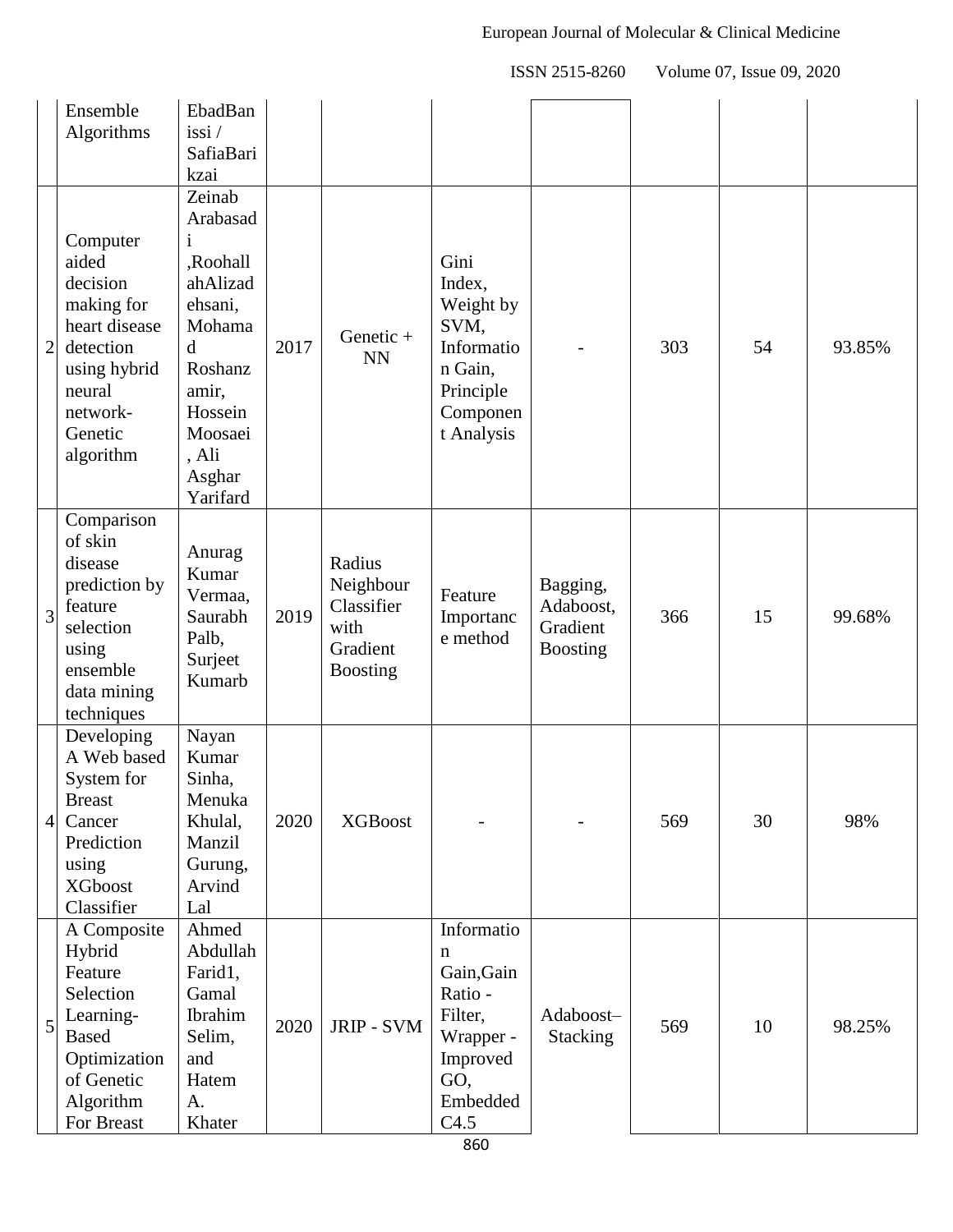|                | Ensemble<br>Algorithms                                                                                                                  | EbadBan<br>$i$ ssi /<br>SafiaBari<br>kzai                                                                                                     |      |                                                                          |                                                                                                         |                                                      |     |    |        |
|----------------|-----------------------------------------------------------------------------------------------------------------------------------------|-----------------------------------------------------------------------------------------------------------------------------------------------|------|--------------------------------------------------------------------------|---------------------------------------------------------------------------------------------------------|------------------------------------------------------|-----|----|--------|
| $\mathbf{2}$   | Computer<br>aided<br>decision<br>making for<br>heart disease<br>detection<br>using hybrid<br>neural<br>network-<br>Genetic<br>algorithm | Zeinab<br>Arabasad<br>,Roohall<br>ahAlizad<br>ehsani,<br>Mohama<br>d<br>Roshanz<br>amir,<br>Hossein<br>Moosaei<br>, Ali<br>Asghar<br>Yarifard | 2017 | Genetic +<br><b>NN</b>                                                   | Gini<br>Index,<br>Weight by<br>SVM,<br>Informatio<br>n Gain,<br>Principle<br>Componen<br>t Analysis     |                                                      | 303 | 54 | 93.85% |
| 3              | Comparison<br>of skin<br>disease<br>prediction by<br>feature<br>selection<br>using<br>ensemble<br>data mining<br>techniques             | Anurag<br>Kumar<br>Vermaa,<br>Saurabh<br>Palb,<br>Surject<br>Kumarb                                                                           | 2019 | Radius<br>Neighbour<br>Classifier<br>with<br>Gradient<br><b>Boosting</b> | Feature<br>Importanc<br>e method                                                                        | Bagging,<br>Adaboost,<br>Gradient<br><b>Boosting</b> | 366 | 15 | 99.68% |
| $\overline{4}$ | Developing<br>A Web based<br>System for<br><b>Breast</b><br>Cancer<br>Prediction<br>using<br><b>XGboost</b><br>Classifier               | Nayan<br>Kumar<br>Sinha,<br>Menuka<br>Khulal,<br>Manzil<br>Gurung,<br>Arvind<br>Lal                                                           | 2020 | <b>XGBoost</b>                                                           |                                                                                                         |                                                      | 569 | 30 | 98%    |
| 5              | A Composite<br>Hybrid<br>Feature<br>Selection<br>Learning-<br><b>Based</b><br>Optimization<br>of Genetic<br>Algorithm<br>For Breast     | Ahmed<br>Abdullah<br>Farid1,<br>Gamal<br>Ibrahim<br>Selim,<br>and<br>Hatem<br>A.<br>Khater                                                    | 2020 | JRIP - SVM                                                               | Informatio<br>n<br>Gain, Gain<br>Ratio -<br>Filter,<br>Wrapper -<br>Improved<br>GO,<br>Embedded<br>C4.5 | Adaboost-<br><b>Stacking</b>                         | 569 | 10 | 98.25% |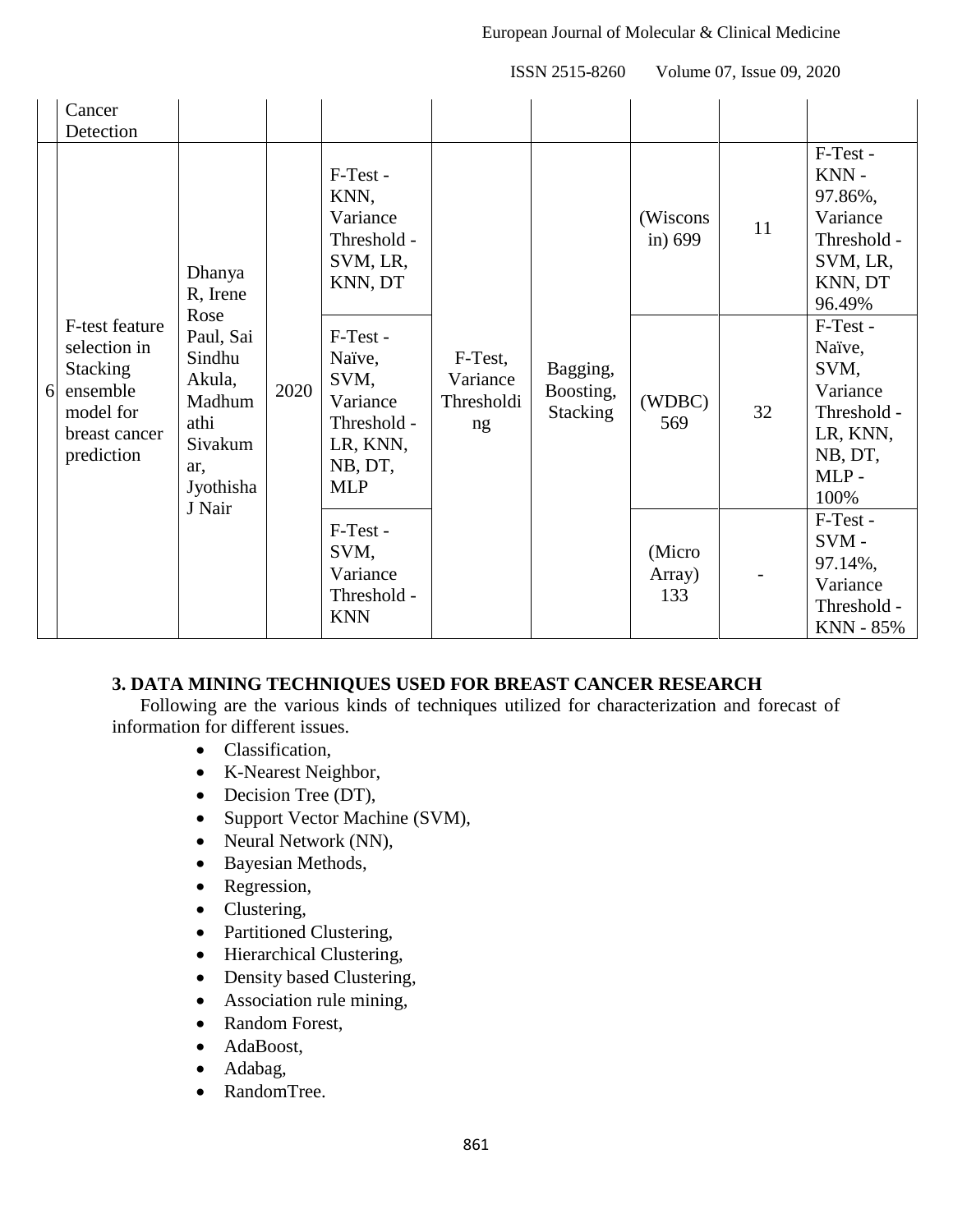|   | Cancer<br>Detection                                                                                       |                                                                                                                        |      |                                                                                            |                                         |                                   |                          |    |                                                                                              |
|---|-----------------------------------------------------------------------------------------------------------|------------------------------------------------------------------------------------------------------------------------|------|--------------------------------------------------------------------------------------------|-----------------------------------------|-----------------------------------|--------------------------|----|----------------------------------------------------------------------------------------------|
| 6 | F-test feature<br>selection in<br><b>Stacking</b><br>ensemble<br>model for<br>breast cancer<br>prediction | Dhanya<br>R, Irene<br>Rose<br>Paul, Sai<br>Sindhu<br>Akula,<br>Madhum<br>athi<br>Sivakum<br>ar,<br>Jyothisha<br>J Nair |      | F-Test -<br>KNN,<br>Variance<br>Threshold -<br>SVM, LR,<br>KNN, DT                         | F-Test,<br>Variance<br>Thresholdi<br>ng | Bagging,<br>Boosting,<br>Stacking | (Wiscons<br>in) 699      | 11 | F-Test -<br>KNN-<br>97.86%,<br>Variance<br>Threshold -<br>SVM, LR,<br>KNN, DT<br>96.49%      |
|   |                                                                                                           |                                                                                                                        | 2020 | F-Test -<br>Naïve,<br>SVM,<br>Variance<br>Threshold -<br>LR, KNN,<br>NB, DT,<br><b>MLP</b> |                                         |                                   | (WDBC)<br>569            | 32 | F-Test -<br>Naïve,<br>SVM,<br>Variance<br>Threshold -<br>LR, KNN,<br>NB, DT,<br>MLP-<br>100% |
|   |                                                                                                           |                                                                                                                        |      | F-Test -<br>SVM,<br>Variance<br>Threshold -<br><b>KNN</b>                                  |                                         |                                   | (Micro)<br>Array)<br>133 |    | F-Test -<br>$SVM -$<br>97.14%,<br>Variance<br>Threshold -<br><b>KNN - 85%</b>                |

## **3. DATA MINING TECHNIQUES USED FOR BREAST CANCER RESEARCH**

Following are the various kinds of techniques utilized for characterization and forecast of information for different issues.

- Classification,
- K-Nearest Neighbor,
- Decision Tree (DT),
- Support Vector Machine (SVM),
- Neural Network (NN),
- Bayesian Methods,
- Regression,
- Clustering,
- Partitioned Clustering,
- Hierarchical Clustering,
- Density based Clustering,
- Association rule mining,
- Random Forest,
- AdaBoost,
- Adabag,
- RandomTree.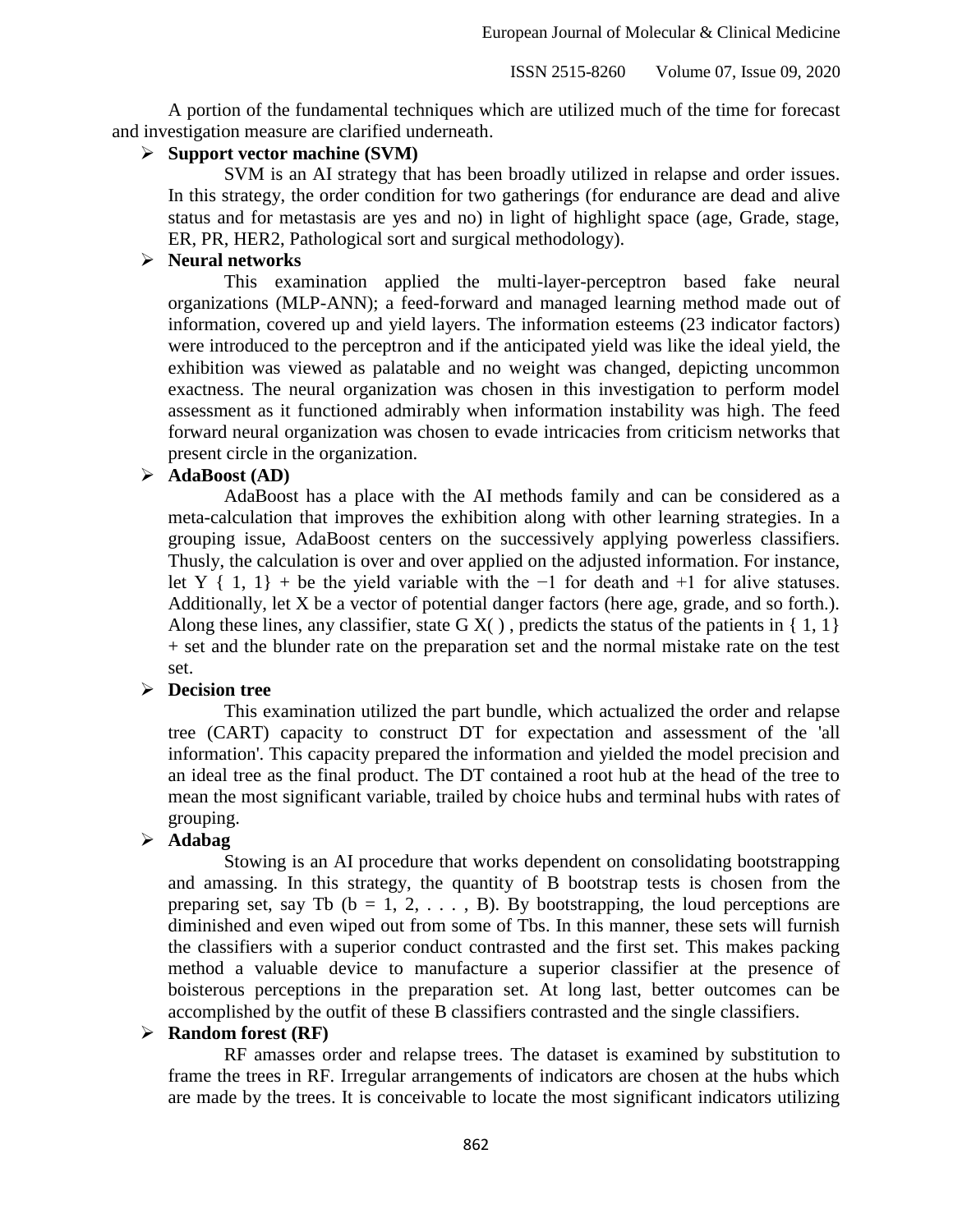A portion of the fundamental techniques which are utilized much of the time for forecast and investigation measure are clarified underneath.

#### **Support vector machine (SVM)**

SVM is an AI strategy that has been broadly utilized in relapse and order issues. In this strategy, the order condition for two gatherings (for endurance are dead and alive status and for metastasis are yes and no) in light of highlight space (age, Grade, stage, ER, PR, HER2, Pathological sort and surgical methodology).

#### **Neural networks**

This examination applied the multi-layer-perceptron based fake neural organizations (MLP-ANN); a feed-forward and managed learning method made out of information, covered up and yield layers. The information esteems (23 indicator factors) were introduced to the perceptron and if the anticipated yield was like the ideal yield, the exhibition was viewed as palatable and no weight was changed, depicting uncommon exactness. The neural organization was chosen in this investigation to perform model assessment as it functioned admirably when information instability was high. The feed forward neural organization was chosen to evade intricacies from criticism networks that present circle in the organization.

### **AdaBoost (AD)**

AdaBoost has a place with the AI methods family and can be considered as a meta-calculation that improves the exhibition along with other learning strategies. In a grouping issue, AdaBoost centers on the successively applying powerless classifiers. Thusly, the calculation is over and over applied on the adjusted information. For instance, let Y { 1, 1} + be the yield variable with the  $-1$  for death and  $+1$  for alive statuses. Additionally, let X be a vector of potential danger factors (here age, grade, and so forth.). Along these lines, any classifier, state  $G X()$ , predicts the status of the patients in  $\{1, 1\}$ + set and the blunder rate on the preparation set and the normal mistake rate on the test set.

#### **Decision tree**

This examination utilized the part bundle, which actualized the order and relapse tree (CART) capacity to construct DT for expectation and assessment of the 'all information'. This capacity prepared the information and yielded the model precision and an ideal tree as the final product. The DT contained a root hub at the head of the tree to mean the most significant variable, trailed by choice hubs and terminal hubs with rates of grouping.

#### **Adabag**

Stowing is an AI procedure that works dependent on consolidating bootstrapping and amassing. In this strategy, the quantity of B bootstrap tests is chosen from the preparing set, say Tb ( $b = 1, 2, \ldots$ , B). By bootstrapping, the loud perceptions are diminished and even wiped out from some of Tbs. In this manner, these sets will furnish the classifiers with a superior conduct contrasted and the first set. This makes packing method a valuable device to manufacture a superior classifier at the presence of boisterous perceptions in the preparation set. At long last, better outcomes can be accomplished by the outfit of these B classifiers contrasted and the single classifiers.

#### **Random forest (RF)**

RF amasses order and relapse trees. The dataset is examined by substitution to frame the trees in RF. Irregular arrangements of indicators are chosen at the hubs which are made by the trees. It is conceivable to locate the most significant indicators utilizing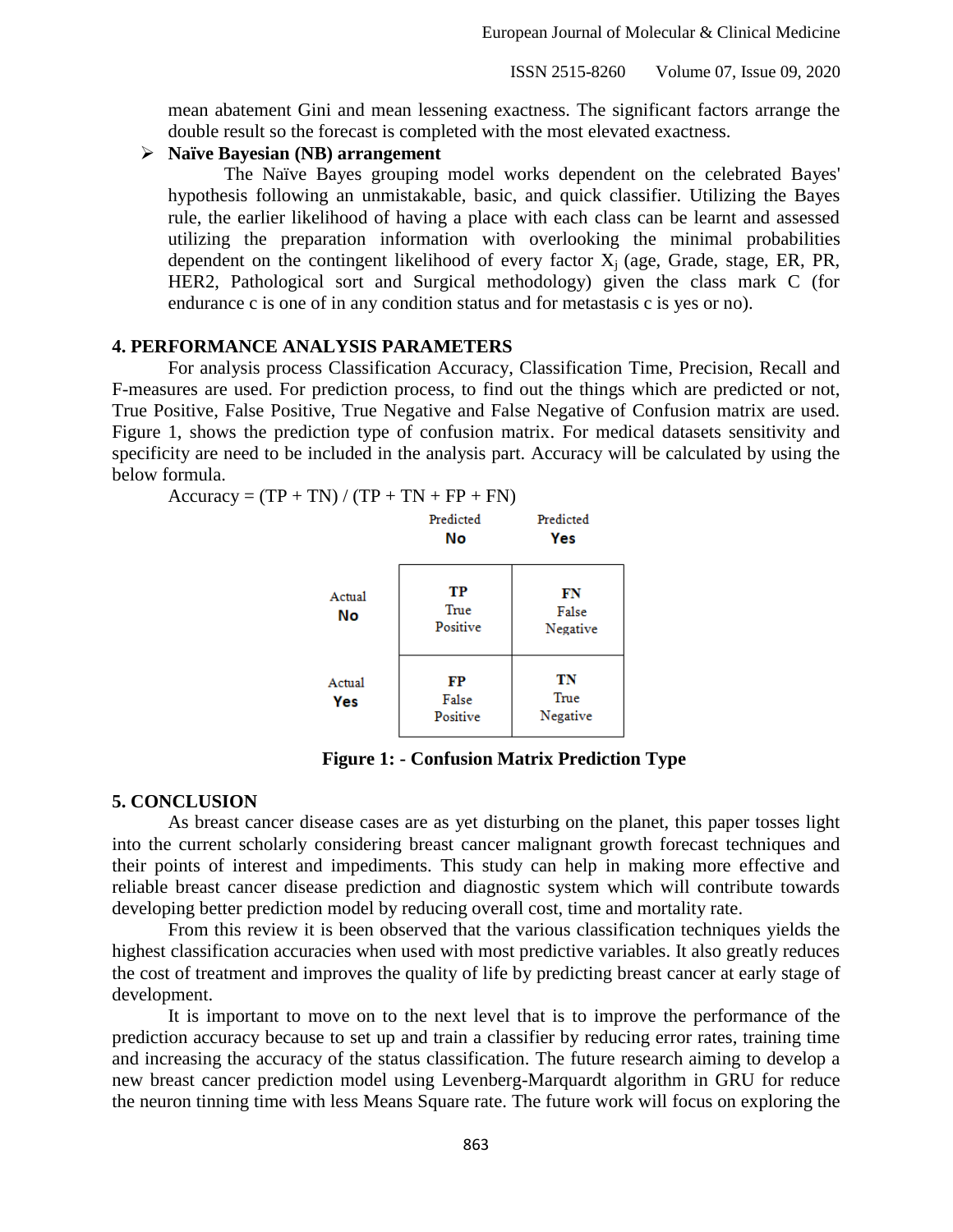mean abatement Gini and mean lessening exactness. The significant factors arrange the double result so the forecast is completed with the most elevated exactness.

#### **Naïve Bayesian (NB) arrangement**

The Naïve Bayes grouping model works dependent on the celebrated Bayes' hypothesis following an unmistakable, basic, and quick classifier. Utilizing the Bayes rule, the earlier likelihood of having a place with each class can be learnt and assessed utilizing the preparation information with overlooking the minimal probabilities dependent on the contingent likelihood of every factor  $X_i$  (age, Grade, stage, ER, PR, HER2, Pathological sort and Surgical methodology) given the class mark C (for endurance c is one of in any condition status and for metastasis c is yes or no).

#### **4. PERFORMANCE ANALYSIS PARAMETERS**

For analysis process Classification Accuracy, Classification Time, Precision, Recall and F-measures are used. For prediction process, to find out the things which are predicted or not, True Positive, False Positive, True Negative and False Negative of Confusion matrix are used. Figure 1, shows the prediction type of confusion matrix. For medical datasets sensitivity and specificity are need to be included in the analysis part. Accuracy will be calculated by using the below formula.

$$
Accuracy = (TP + TN) / (TP + TN + FP + FN)
$$

|               | Predicted<br>No         | Predicted<br>Yes        |
|---------------|-------------------------|-------------------------|
| Actual<br>No  | TP<br>True<br>Positive  | FN<br>False<br>Negative |
| Actual<br>Yes | FP<br>False<br>Positive | TN<br>True<br>Negative  |

**Figure 1: - Confusion Matrix Prediction Type**

#### **5. CONCLUSION**

As breast cancer disease cases are as yet disturbing on the planet, this paper tosses light into the current scholarly considering breast cancer malignant growth forecast techniques and their points of interest and impediments. This study can help in making more effective and reliable breast cancer disease prediction and diagnostic system which will contribute towards developing better prediction model by reducing overall cost, time and mortality rate.

From this review it is been observed that the various classification techniques yields the highest classification accuracies when used with most predictive variables. It also greatly reduces the cost of treatment and improves the quality of life by predicting breast cancer at early stage of development.

It is important to move on to the next level that is to improve the performance of the prediction accuracy because to set up and train a classifier by reducing error rates, training time and increasing the accuracy of the status classification. The future research aiming to develop a new breast cancer prediction model using Levenberg-Marquardt algorithm in GRU for reduce the neuron tinning time with less Means Square rate. The future work will focus on exploring the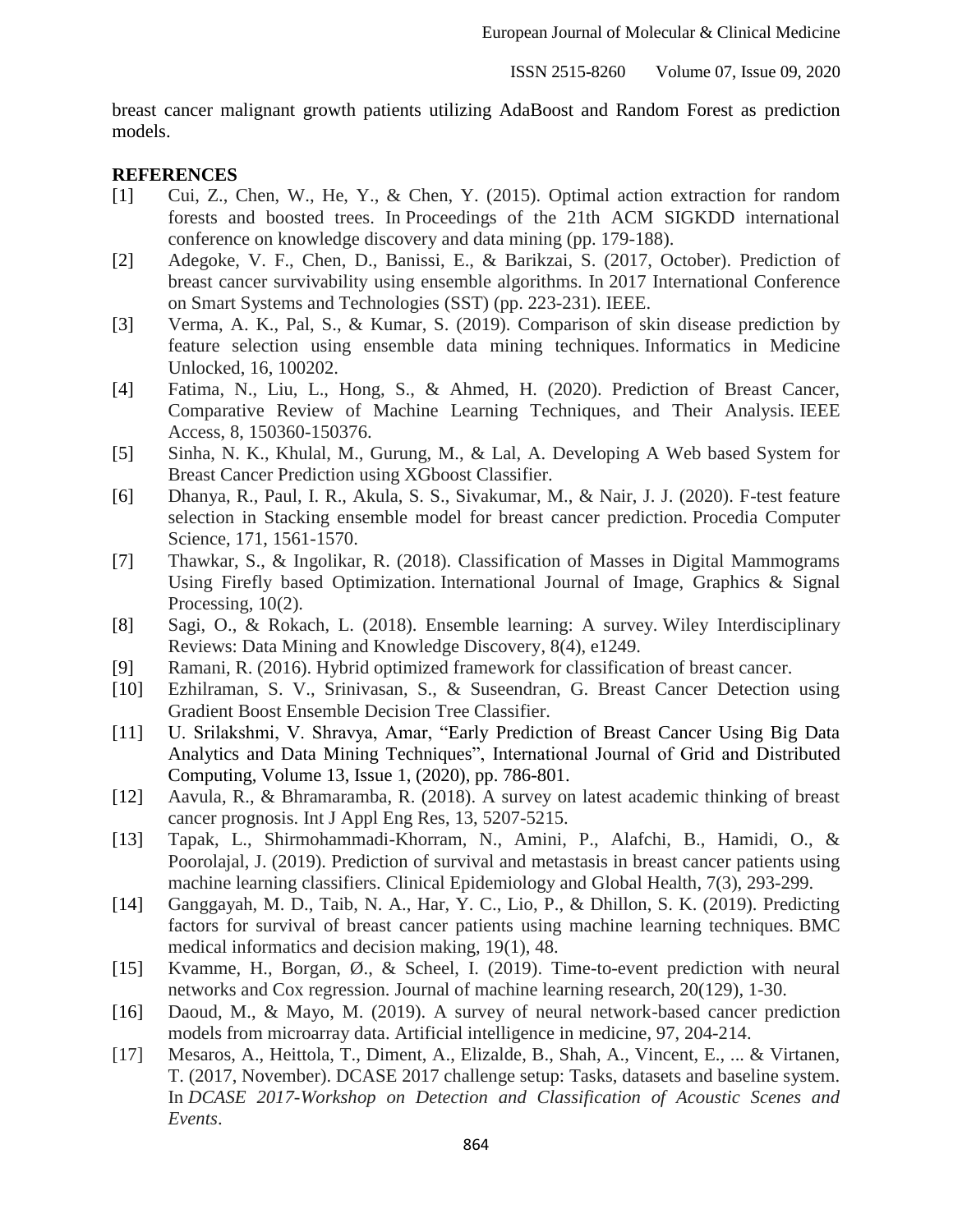breast cancer malignant growth patients utilizing AdaBoost and Random Forest as prediction models.

#### **REFERENCES**

- [1] Cui, Z., Chen, W., He, Y., & Chen, Y. (2015). Optimal action extraction for random forests and boosted trees. In Proceedings of the 21th ACM SIGKDD international conference on knowledge discovery and data mining (pp. 179-188).
- [2] Adegoke, V. F., Chen, D., Banissi, E., & Barikzai, S. (2017, October). Prediction of breast cancer survivability using ensemble algorithms. In 2017 International Conference on Smart Systems and Technologies (SST) (pp. 223-231). IEEE.
- [3] Verma, A. K., Pal, S., & Kumar, S. (2019). Comparison of skin disease prediction by feature selection using ensemble data mining techniques. Informatics in Medicine Unlocked, 16, 100202.
- [4] Fatima, N., Liu, L., Hong, S., & Ahmed, H. (2020). Prediction of Breast Cancer, Comparative Review of Machine Learning Techniques, and Their Analysis. IEEE Access, 8, 150360-150376.
- [5] Sinha, N. K., Khulal, M., Gurung, M., & Lal, A. Developing A Web based System for Breast Cancer Prediction using XGboost Classifier.
- [6] Dhanya, R., Paul, I. R., Akula, S. S., Sivakumar, M., & Nair, J. J. (2020). F-test feature selection in Stacking ensemble model for breast cancer prediction. Procedia Computer Science, 171, 1561-1570.
- [7] Thawkar, S., & Ingolikar, R. (2018). Classification of Masses in Digital Mammograms Using Firefly based Optimization. International Journal of Image, Graphics & Signal Processing,  $10(2)$ .
- [8] Sagi, O., & Rokach, L. (2018). Ensemble learning: A survey. Wiley Interdisciplinary Reviews: Data Mining and Knowledge Discovery, 8(4), e1249.
- [9] Ramani, R. (2016). Hybrid optimized framework for classification of breast cancer.
- [10] Ezhilraman, S. V., Srinivasan, S., & Suseendran, G. Breast Cancer Detection using Gradient Boost Ensemble Decision Tree Classifier.
- [11] U. Srilakshmi, V. Shravya, Amar, "Early Prediction of Breast Cancer Using Big Data Analytics and Data Mining Techniques", International Journal of Grid and Distributed Computing, Volume 13, Issue 1, (2020), pp. 786-801.
- [12] Aavula, R., & Bhramaramba, R. (2018). A survey on latest academic thinking of breast cancer prognosis. Int J Appl Eng Res, 13, 5207-5215.
- [13] Tapak, L., Shirmohammadi-Khorram, N., Amini, P., Alafchi, B., Hamidi, O., & Poorolajal, J. (2019). Prediction of survival and metastasis in breast cancer patients using machine learning classifiers. Clinical Epidemiology and Global Health, 7(3), 293-299.
- [14] Ganggayah, M. D., Taib, N. A., Har, Y. C., Lio, P., & Dhillon, S. K. (2019). Predicting factors for survival of breast cancer patients using machine learning techniques. BMC medical informatics and decision making, 19(1), 48.
- [15] Kvamme, H., Borgan, Ø., & Scheel, I. (2019). Time-to-event prediction with neural networks and Cox regression. Journal of machine learning research, 20(129), 1-30.
- [16] Daoud, M., & Mayo, M. (2019). A survey of neural network-based cancer prediction models from microarray data. Artificial intelligence in medicine, 97, 204-214.
- [17] Mesaros, A., Heittola, T., Diment, A., Elizalde, B., Shah, A., Vincent, E., ... & Virtanen, T. (2017, November). DCASE 2017 challenge setup: Tasks, datasets and baseline system. In *DCASE 2017-Workshop on Detection and Classification of Acoustic Scenes and Events*.